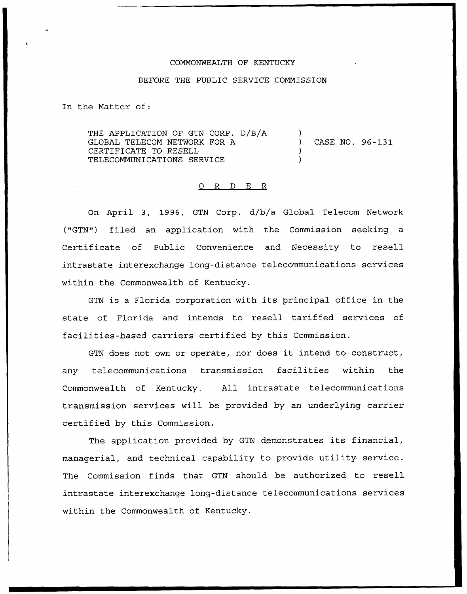## COMMONWEALTH OF KENTUCKY

## BEFORE THE PUBLIC SERVICE COMMISSION

In the Matter of:

THE APPLICATION OF GTN CORP. D/B/A GLOBAL TELECOM NETWORK FOR A CERTIFICATE TO RESELL TELECOMMUNICATIONS SERVICE ) ) CASE NO. 96-131 ) )

## 0 R <sup>D</sup> E R

On April 3, 1996, GTN Corp. d/b/a Global Telecom Network ("GTN") filed an application with the Commission seeking a Certificate of Public Convenience and Necessity to resell intrastate interexchange long-distance telecommunications services within the Commonwealth of Kentucky.

GTN is <sup>a</sup> Florida corporation with its principal office in the state of Florida and intends to resell tariffed services of facilities-based carriers certified by this Commission.

GTN does not own or operate, nor does it intend to construct, any telecommunications transmission facilities within the Commonwealth of Kentucky. All intrastate telecommunications transmission services will be provided by an underlying carrier certified by this Commission.

The application provided by GTN demonstrates its financial, managerial, and technical capability to provide utility service. The Commission finds that GTN should be authorized to resell intrastate interexchange long-distance telecommunications services within the Commonwealth of Kentucky.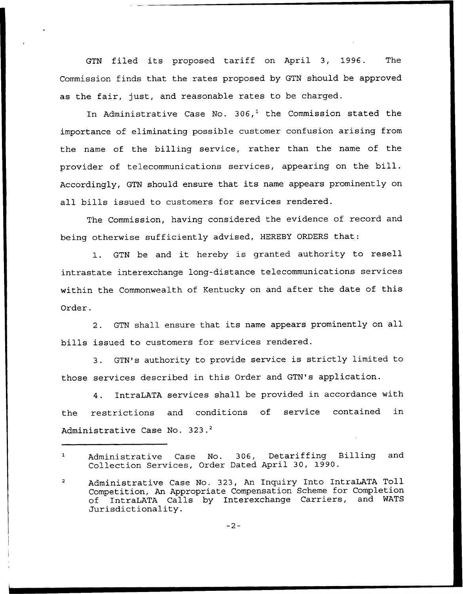GTN filed its proposed tariff on April 3, 1996. The Commission finds that the rates proposed by GTN should be approved as the fair, just, and reasonable rates to be charged.

In Administrative Case No.  $306<sup>1</sup>$  the Commission stated the importance of eliminating possible customer confusion arising from the name of the billing service, rather than the name of the provider of telecommunications services, appearing on the bill. Accordingly, GTN should ensure that its name appears prominently on all bills issued to customers for services rendered.

The Commission, having considered the evidence of record and being otherwise sufficiently advised, HEREBY ORDERS that:

1. GTN be and it hereby is granted authority to resell intrastate interexchange long-distance telecommunications services within the Commonwealth of Kentucky on and after the date of this Order.

2. GTN shall ensure that its name appears prominently on all bills issued to customers for services rendered.

3. GTN's authority to provide service is strictly limited to those services described in this Order and GTN's application.

4. IntraLATA services shall be provided in accordance with the restrictions and conditions of service contained in Administrative Case No. 323.<sup>2</sup>

 $-2-$ 

 $\mathbf{1}$ Administrative Case No. 306, Detariffing Billing and Collection Services, Order Dated April 30, 1990.

Administrative Case No. 323, An Inquiry Into IntraLATA Toll  $\overline{a}$ Competition, An Appropriate Compensation Scheme for Completion<br>of IntraLATA Calls by Interexchange Carriers, and WATS of IntraLATA Calls by Interexchange Carriers, Jurisdictionality.